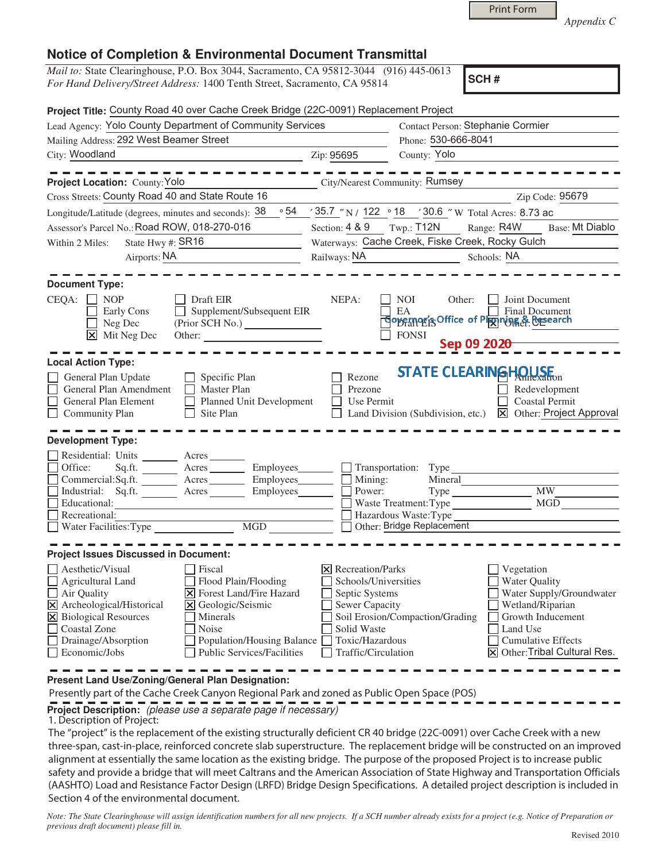|  | <b>Print Form</b> |  |
|--|-------------------|--|
|  |                   |  |

*Appendix C* 

## **Notice of Completion & Environmental Document Transmittal**

*Mail to:* State Clearinghouse, P.O. Box 3044, Sacramento, CA 95812-3044 (916) 445-0613 *For Hand Delivery/Street Address:* 1400 Tenth Street, Sacramento, CA 95814

**SCH #**

| Project Title: County Road 40 over Cache Creek Bridge (22C-0091) Replacement Project                                                                                                                                                                                                                   |                                                                                           |                                                                                                               |                                                                                                                                                    |
|--------------------------------------------------------------------------------------------------------------------------------------------------------------------------------------------------------------------------------------------------------------------------------------------------------|-------------------------------------------------------------------------------------------|---------------------------------------------------------------------------------------------------------------|----------------------------------------------------------------------------------------------------------------------------------------------------|
| Lead Agency: Yolo County Department of Community Services                                                                                                                                                                                                                                              |                                                                                           | Contact Person: Stephanie Cormier                                                                             |                                                                                                                                                    |
| Mailing Address: 292 West Beamer Street                                                                                                                                                                                                                                                                |                                                                                           | Phone: 530-666-8041                                                                                           |                                                                                                                                                    |
| City: Woodland                                                                                                                                                                                                                                                                                         | Zip: 95695                                                                                | County: Yolo                                                                                                  |                                                                                                                                                    |
| Project Location: County: Yolo<br>City/Nearest Community: Rumsey                                                                                                                                                                                                                                       |                                                                                           |                                                                                                               |                                                                                                                                                    |
| Cross Streets: County Road 40 and State Route 16                                                                                                                                                                                                                                                       |                                                                                           |                                                                                                               | Zip Code: 95679                                                                                                                                    |
| Longitude/Latitude (degrees, minutes and seconds): 38                                                                                                                                                                                                                                                  |                                                                                           | $\frac{1}{2}$ 54 $\frac{35.7}{N}$ N / 122 $\frac{18}{18}$ / 30.6 $\degree$ W Total Acres: 8.73 ac             |                                                                                                                                                    |
| Assessor's Parcel No.: Road ROW, 018-270-016                                                                                                                                                                                                                                                           | Section: $4 & 9$ Twp.: T12N                                                               | Range: R4W                                                                                                    | Base: Mt Diablo                                                                                                                                    |
| State Hwy #: SR16<br>Within 2 Miles:                                                                                                                                                                                                                                                                   | Waterways: Cache Creek, Fiske Creek, Rocky Gulch                                          |                                                                                                               |                                                                                                                                                    |
| Airports: NA                                                                                                                                                                                                                                                                                           | Railways: NA                                                                              | Schools: NA                                                                                                   |                                                                                                                                                    |
| <b>Document Type:</b><br>CEQA:<br>Draft EIR<br><b>NOP</b><br>Supplement/Subsequent EIR<br>Early Cons<br>Neg Dec<br>⊠<br>Mit Neg Dec<br>Other:<br><u> 1989 - John Stone, Amerikaansk politiker (</u>                                                                                                    | NEPA:                                                                                     | <b>NOI</b><br>Other:<br>EA Final Document<br><b>FONSI</b><br>Sep 09 2020-                                     | Joint Document                                                                                                                                     |
| <b>Local Action Type:</b><br>General Plan Update<br>Specific Plan<br>General Plan Amendment<br>Master Plan<br>General Plan Element<br>Planned Unit Development<br>$\Box$ Community Plan<br>Site Plan<br>$\perp$                                                                                        | Rezone<br>Prezone<br>Use Permit                                                           | <b>STATE CLEARINGHOUSE</b><br>Land Division (Subdivision, etc.)                                               | Redevelopment<br><b>Coastal Permit</b><br>X Other: Project Approval                                                                                |
| <b>Development Type:</b><br>Residential: Units ________ Acres _______<br>Office:<br>Sq.ft. _________ Acres __________ Employees_______<br>Commercial:Sq.ft. _______ Acres ________ Employees____<br>Industrial: Sq.ft.<br>Acres<br>Employees________<br>Educational:<br>Recreational:<br>MGD           | Mining:<br>Power:                                                                         | Transportation: Type<br>Mineral<br>Waste Treatment: Type<br>Hazardous Waste:Type<br>Other: Bridge Replacement | <b>MW</b><br>MGD                                                                                                                                   |
| <b>Project Issues Discussed in Document:</b><br>Aesthetic/Visual<br>Fiscal<br>$\Box$ Agricultural Land<br>Flood Plain/Flooding                                                                                                                                                                         | $\triangleright$ Recreation/Parks<br>Schools/Universities                                 |                                                                                                               | Vegetation<br><b>Water Quality</b>                                                                                                                 |
| Air Quality<br><b>X</b> Forest Land/Fire Hazard<br>Archeological/Historical<br>Geologic/Seismic<br>$\boxtimes$<br>l×l<br><b>X</b> Biological Resources<br>Minerals<br>Coastal Zone<br>Noise<br>Drainage/Absorption<br>Population/Housing Balance<br><b>Public Services/Facilities</b><br>Economic/Jobs | Septic Systems<br>Sewer Capacity<br>Solid Waste<br>Toxic/Hazardous<br>Traffic/Circulation | Soil Erosion/Compaction/Grading                                                                               | Water Supply/Groundwater<br>Wetland/Riparian<br>Growth Inducement<br>Land Use<br><b>Cumulative Effects</b><br><b>X</b> Other: Tribal Cultural Res. |

**Present Land Use/Zoning/General Plan Designation:**

Presently part of the Cache Creek Canyon Regional Park and zoned as Public Open Space (POS)

**Project Description:** (please use a separate page if necessary)

1. Description of Project:

The "project" is the replacement of the existing structurally deficient CR 40 bridge (22C-0091) over Cache Creek with a new three-span, cast-in-place, reinforced concrete slab superstructure. The replacement bridge will be constructed on an improved alignment at essentially the same location as the existing bridge. The purpose of the proposed Project is to increase public safety and provide a bridge that will meet Caltrans and the American Association of State Highway and Transportation Officials (AASHTO) Load and Resistance Factor Design (LRFD) Bridge Design Specifications. A detailed project description is included in Section 4 of the environmental document.

*Note: The State Clearinghouse will assign identification numbers for all new projects. If a SCH number already exists for a project (e.g. Notice of Preparation or previous draft document) please fill in.*